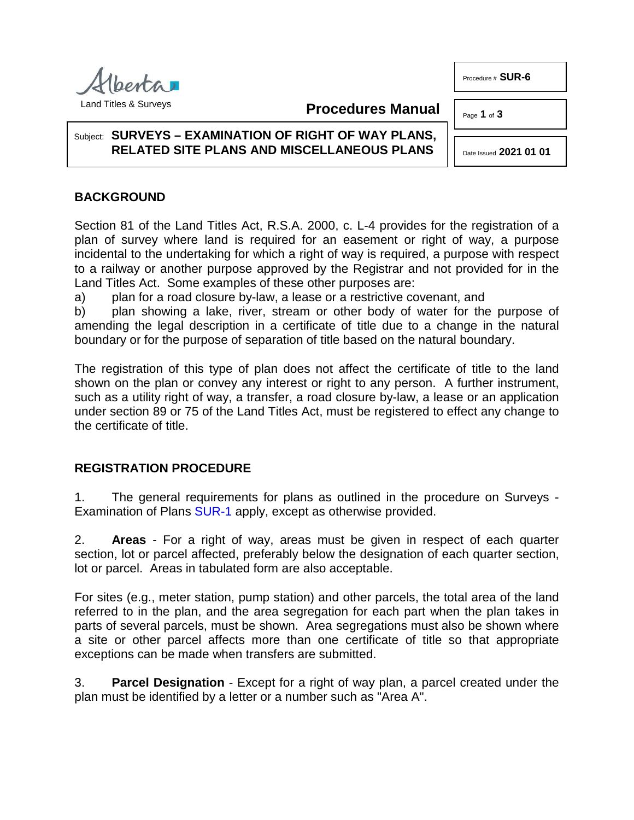Procedure # **SUR-6**

Page **1** of **3** 



### **Procedures Manual**

#### Subject: **SURVEYS – EXAMINATION OF RIGHT OF WAY PLANS, RELATED SITE PLANS AND MISCELLANEOUS PLANS**

Date Issued **2021 01 01**

# **BACKGROUND**

Section 81 of the Land Titles Act, R.S.A. 2000, c. L-4 provides for the registration of a plan of survey where land is required for an easement or right of way, a purpose incidental to the undertaking for which a right of way is required, a purpose with respect to a railway or another purpose approved by the Registrar and not provided for in the Land Titles Act. Some examples of these other purposes are:

a) plan for a road closure by-law, a lease or a restrictive covenant, and

b) plan showing a lake, river, stream or other body of water for the purpose of amending the legal description in a certificate of title due to a change in the natural boundary or for the purpose of separation of title based on the natural boundary.

The registration of this type of plan does not affect the certificate of title to the land shown on the plan or convey any interest or right to any person. A further instrument, such as a utility right of way, a transfer, a road closure by-law, a lease or an application under section 89 or 75 of the Land Titles Act, must be registered to effect any change to the certificate of title.

## **REGISTRATION PROCEDURE**

1. The general requirements for plans as outlined in the procedure on Surveys - Examination of Plans [SUR-1](http://www.servicealberta.ca/pdf/ltmanual/SUR-1.PDF) apply, except as otherwise provided.

2. **Areas** - For a right of way, areas must be given in respect of each quarter section, lot or parcel affected, preferably below the designation of each quarter section, lot or parcel. Areas in tabulated form are also acceptable.

For sites (e.g., meter station, pump station) and other parcels, the total area of the land referred to in the plan, and the area segregation for each part when the plan takes in parts of several parcels, must be shown. Area segregations must also be shown where a site or other parcel affects more than one certificate of title so that appropriate exceptions can be made when transfers are submitted.

3. **Parcel Designation** - Except for a right of way plan, a parcel created under the plan must be identified by a letter or a number such as "Area A".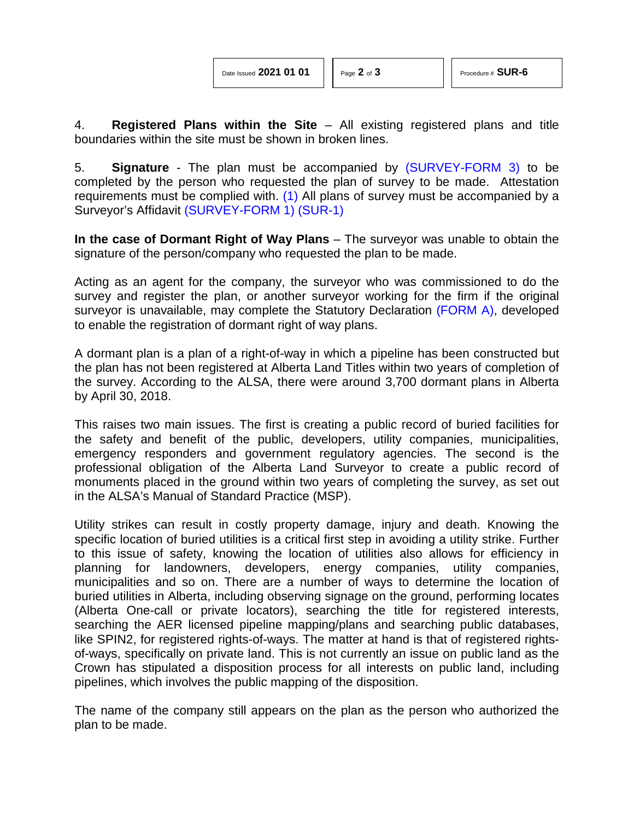4. **Registered Plans within the Site** – All existing registered plans and title boundaries within the site must be shown in broken lines.

<span id="page-1-0"></span>5. **Signature** - The plan must be accompanied by [\(SURVEY-FORM 3\)](http://www.servicealberta.ca/pdf/ltmanual/SURVEY-FORM3.pdf) to be completed by the person who requested the plan of survey to be made. Attestation requirements must be complied with. [\(1\)](#page-2-0) All plans of survey must be accompanied by a Surveyor's Affidavit [\(SURVEY-FORM 1\)](http://www.servicealberta.ca/pdf/ltmanual/SURVEY-FORM1.pdf) [\(SUR-1\)](http://www.servicealberta.ca/pdf/ltmanual/SUR-1.pdf)

**In the case of Dormant Right of Way Plans** – The surveyor was unable to obtain the signature of the person/company who requested the plan to be made.

Acting as an agent for the company, the surveyor who was commissioned to do the survey and register the plan, or another surveyor working for the firm if the original surveyor is unavailable, may complete the Statutory Declaration [\(FORM](http://www.servicealberta.ca/pdf/ltmanual/SUR-6-FORMA.pdf) A), developed to enable the registration of dormant right of way plans.

A dormant plan is a plan of a right-of-way in which a pipeline has been constructed but the plan has not been registered at Alberta Land Titles within two years of completion of the survey. According to the ALSA, there were around 3,700 dormant plans in Alberta by April 30, 2018.

This raises two main issues. The first is creating a public record of buried facilities for the safety and benefit of the public, developers, utility companies, municipalities, emergency responders and government regulatory agencies. The second is the professional obligation of the Alberta Land Surveyor to create a public record of monuments placed in the ground within two years of completing the survey, as set out in the ALSA's Manual of Standard Practice (MSP).

Utility strikes can result in costly property damage, injury and death. Knowing the specific location of buried utilities is a critical first step in avoiding a utility strike. Further to this issue of safety, knowing the location of utilities also allows for efficiency in planning for landowners, developers, energy companies, utility companies, municipalities and so on. There are a number of ways to determine the location of buried utilities in Alberta, including observing signage on the ground, performing locates (Alberta One-call or private locators), searching the title for registered interests, searching the AER licensed pipeline mapping/plans and searching public databases, like SPIN2, for registered rights-of-ways. The matter at hand is that of registered rightsof-ways, specifically on private land. This is not currently an issue on public land as the Crown has stipulated a disposition process for all interests on public land, including pipelines, which involves the public mapping of the disposition.

The name of the company still appears on the plan as the person who authorized the plan to be made.